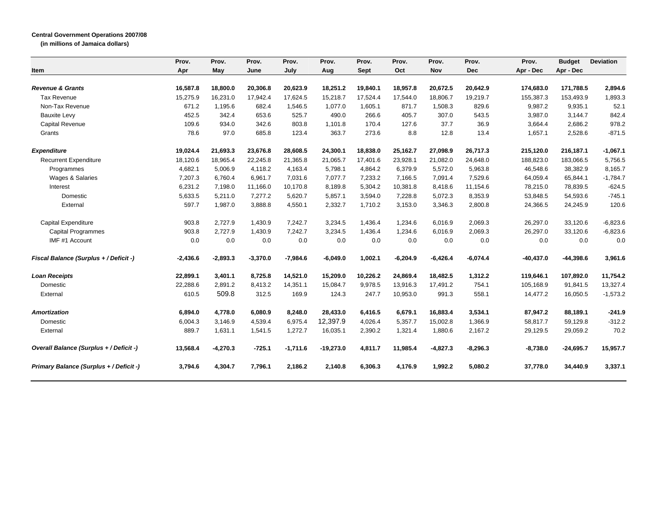## **Central Government Operations 2007/08**

**(in millions of Jamaica dollars)**

|                                         | Prov.      | Prov.      | Prov.      | Prov.      | Prov.       | Prov.       | Prov.      | Prov.      | Prov.      | Prov.       | <b>Budget</b> | <b>Deviation</b> |
|-----------------------------------------|------------|------------|------------|------------|-------------|-------------|------------|------------|------------|-------------|---------------|------------------|
| Item                                    | Apr        | May        | June       | July       | Aug         | <b>Sept</b> | Oct        | <b>Nov</b> | <b>Dec</b> | Apr - Dec   | Apr - Dec     |                  |
| <b>Revenue &amp; Grants</b>             | 16,587.8   | 18,800.0   | 20,306.8   | 20,623.9   | 18,251.2    | 19,840.1    | 18,957.8   | 20,672.5   | 20,642.9   | 174,683.0   | 171,788.5     | 2,894.6          |
| <b>Tax Revenue</b>                      | 15,275.9   | 16,231.0   | 17,942.4   | 17,624.5   | 15,218.7    | 17.524.4    | 17.544.0   | 18,806.7   | 19,219.7   | 155,387.3   | 153,493.9     | 1,893.3          |
| Non-Tax Revenue                         | 671.2      | 1.195.6    | 682.4      | 1,546.5    | 1,077.0     | 1,605.1     | 871.7      | 1,508.3    | 829.6      | 9,987.2     | 9,935.1       | 52.1             |
| <b>Bauxite Levy</b>                     | 452.5      | 342.4      | 653.6      | 525.7      | 490.0       | 266.6       | 405.7      | 307.0      | 543.5      | 3,987.0     | 3,144.7       | 842.4            |
| Capital Revenue                         | 109.6      | 934.0      | 342.6      | 803.8      | 1,101.8     | 170.4       | 127.6      | 37.7       | 36.9       | 3,664.4     | 2,686.2       | 978.2            |
| Grants                                  | 78.6       | 97.0       | 685.8      | 123.4      | 363.7       | 273.6       | 8.8        | 12.8       | 13.4       | 1,657.1     | 2,528.6       | $-871.5$         |
| <b>Expenditure</b>                      | 19,024.4   | 21,693.3   | 23,676.8   | 28,608.5   | 24,300.1    | 18,838.0    | 25,162.7   | 27,098.9   | 26,717.3   | 215,120.0   | 216,187.1     | $-1,067.1$       |
| <b>Recurrent Expenditure</b>            | 18,120.6   | 18,965.4   | 22,245.8   | 21,365.8   | 21,065.7    | 17,401.6    | 23,928.1   | 21,082.0   | 24,648.0   | 188,823.0   | 183,066.5     | 5,756.5          |
| Programmes                              | 4,682.1    | 5,006.9    | 4,118.2    | 4,163.4    | 5,798.1     | 4,864.2     | 6,379.9    | 5,572.0    | 5,963.8    | 46,548.6    | 38,382.9      | 8,165.7          |
| <b>Wages &amp; Salaries</b>             | 7,207.3    | 6,760.4    | 6,961.7    | 7,031.6    | 7,077.7     | 7,233.2     | 7,166.5    | 7,091.4    | 7,529.6    | 64,059.4    | 65,844.1      | $-1,784.7$       |
| Interest                                | 6,231.2    | 7,198.0    | 11,166.0   | 10,170.8   | 8,189.8     | 5,304.2     | 10,381.8   | 8,418.6    | 11,154.6   | 78,215.0    | 78,839.5      | $-624.5$         |
| Domestic                                | 5,633.5    | 5,211.0    | 7,277.2    | 5,620.7    | 5,857.1     | 3,594.0     | 7,228.8    | 5,072.3    | 8,353.9    | 53,848.5    | 54,593.6      | $-745.1$         |
| External                                | 597.7      | 1,987.0    | 3,888.8    | 4,550.1    | 2,332.7     | 1,710.2     | 3,153.0    | 3,346.3    | 2,800.8    | 24,366.5    | 24,245.9      | 120.6            |
| <b>Capital Expenditure</b>              | 903.8      | 2,727.9    | 1,430.9    | 7,242.7    | 3,234.5     | 1,436.4     | 1,234.6    | 6,016.9    | 2,069.3    | 26,297.0    | 33,120.6      | $-6,823.6$       |
| Capital Programmes                      | 903.8      | 2.727.9    | 1,430.9    | 7.242.7    | 3,234.5     | 1.436.4     | 1,234.6    | 6,016.9    | 2,069.3    | 26,297.0    | 33,120.6      | $-6,823.6$       |
| IMF #1 Account                          | 0.0        | 0.0        | 0.0        | 0.0        | 0.0         | 0.0         | 0.0        | 0.0        | 0.0        | 0.0         | 0.0           | 0.0              |
| Fiscal Balance (Surplus + / Deficit -)  | $-2,436.6$ | $-2,893.3$ | $-3,370.0$ | $-7,984.6$ | $-6,049.0$  | 1,002.1     | $-6,204.9$ | $-6,426.4$ | $-6,074.4$ | $-40,437.0$ | $-44,398.6$   | 3,961.6          |
| <b>Loan Receipts</b>                    | 22,899.1   | 3.401.1    | 8.725.8    | 14.521.0   | 15,209.0    | 10,226.2    | 24,869.4   | 18.482.5   | 1,312.2    | 119,646.1   | 107.892.0     | 11,754.2         |
| Domestic                                | 22,288.6   | 2,891.2    | 8,413.2    | 14,351.1   | 15,084.7    | 9,978.5     | 13,916.3   | 17,491.2   | 754.1      | 105,168.9   | 91,841.5      | 13,327.4         |
| External                                | 610.5      | 509.8      | 312.5      | 169.9      | 124.3       | 247.7       | 10,953.0   | 991.3      | 558.1      | 14,477.2    | 16,050.5      | $-1,573.2$       |
| <b>Amortization</b>                     | 6,894.0    | 4,778.0    | 6,080.9    | 8,248.0    | 28,433.0    | 6,416.5     | 6,679.1    | 16,883.4   | 3,534.1    | 87,947.2    | 88,189.1      | $-241.9$         |
| Domestic                                | 6,004.3    | 3,146.9    | 4,539.4    | 6,975.4    | 12,397.9    | 4,026.4     | 5,357.7    | 15,002.8   | 1,366.9    | 58,817.7    | 59,129.8      | $-312.2$         |
| External                                | 889.7      | 1,631.1    | 1,541.5    | 1,272.7    | 16,035.1    | 2,390.2     | 1,321.4    | 1,880.6    | 2,167.2    | 29,129.5    | 29,059.2      | 70.2             |
| Overall Balance (Surplus + / Deficit -) | 13,568.4   | $-4,270.3$ | $-725.1$   | $-1,711.6$ | $-19,273.0$ | 4,811.7     | 11,985.4   | $-4,827.3$ | $-8,296.3$ | $-8,738.0$  | $-24,695.7$   | 15,957.7         |
| Primary Balance (Surplus + / Deficit -) | 3,794.6    | 4,304.7    | 7,796.1    | 2,186.2    | 2,140.8     | 6,306.3     | 4,176.9    | 1,992.2    | 5,080.2    | 37,778.0    | 34,440.9      | 3,337.1          |